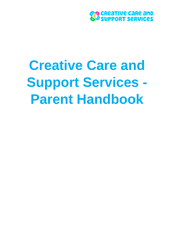

# **Creative Care and Support Services - Parent Handbook**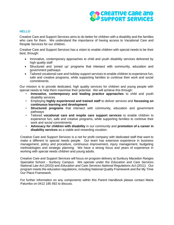# <mark>၉၉</mark> CReaTIVe CaRe and<br>မိ<sup>9</sup> SUPPORT SeRVICeS

# **HELLO**

Creative Care and Support Services aims to do better for children with a disability and the families who care for them. We understand the importance of having access to Vacational Care and Respite Services for our children.

Creative Care and Support Services has a vision to enable children with special needs to be their best, through:

- Innovative, contemporary approaches to child and youth disability services delivered by high quality staff
- Structured and 'joined up' programs that intersect with community, education and government pathways
- Tailored vocational care and holiday support services to enable children to experience fun, safe and creative programs, while supporting families to continue their work and social commitments.

Our mission is to provide dedicated, high quality services for children and young people with special needs to help them maximise their potential. We will achieve this through:

- **Innovative, contemporary and leading practice approaches** to child and youth disability services
- Employing **highly experienced and trained staff** to deliver services and **focussing on continuous learning and development**
- **Structured programs** that intersect with community, education and government pathways
- Tailored **vocational care and respite care support services** to enable children to experience fun, safe and creative programs, while supporting families to continue their work and social commitments
- **Advocacy for children with disability** in our community and **promotion of a career in disability services** as a viable and rewarding vocation.

Creative Care and Support Services is a not for profit company with dedicated staff that want to make a different to special needs people. Our team has extensive experience in business management, policy and procedure, continuous improvement, injury management, budgeting methodologies and strategic planning. We have a strong focus and years of experience in working with special needs children and young adults.

Creative Care and Support Services will focus on program delivery at Sunbury Macedon Ranges Specialist School - Sunbury Campus. We operate under the *Education and Care Services National Law Act (2010)* and *Education and Care Services National Regulations Act (2011).* Our program meets the education regulations, including National Quality Framework and the My Time Our Place Framework.

For further information on any components within this Parent Handbook please contact Maria Palumbo on 0412 185 592 to discuss.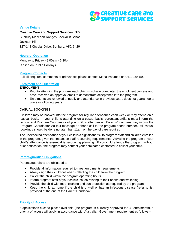

# **Venue Details**

**Creative Care and Support Services LTD** Sunbury Macedon Ranges Specialist School Jackson Hill 127-143 Circular Drive, Sunbury, VIC, 3429

# **Hours of Operation**

Monday to Friday - 8.00am - 6.30pm Closed on Public Holidays

# **Program Contacts**

Full all enquires, comments or grievances please contact Maria Palumbo on 0412 185 592

# **Enrolment and Orientation**

#### **ENROLMENT**

- Prior to attending the program, each child must have completed the enrolment process and have received an approval email to demonstrate acceptance into the program.
- Enrolments are renewed annually and attendance in previous years does not guarantee a place in following years.

## **CASUAL BOOKINGS**

Children may be booked into the program for regular attendance each week or may attend on a casual basis. If your child is attending on a casual basis, parents/guardians must inform the school and Program Coordinator of your child's attendance. Parents/guardians may inform the Program Coordinator via text message or phone call to the program phone number. All casual bookings should be done no later than 11am on the day of care required.

The unexpected attendance of your child is a significant risk to program staff and children enrolled in the program, given the impact on staff resourcing requirements. Advising the program of your child's attendance is essential is resourcing planning. If you child attends the program without prior notification, the program may contact your nominated contacted to collect your child.

## **Parent/guardian Obligations**

Parents/guardians are obligated to –

- Provide all information required to meet enrolments requirements
- Always sign their child out when collecting the child from the program
- Collect the child within the program operating hours
- Inform program staff of your child's issues relating to their health and wellbeing
- Provide the child with food, clothing and sun protection as required by the program
- Keep the child at home if the child is unwell or has an infectious disease (refer to list provided at the end of the Parent Handbook)

# **Priority of Access**

If applications exceed places available (the program is currently approved for 30 enrolments), a priority of access will apply in accordance with Australian Government requirement as follows –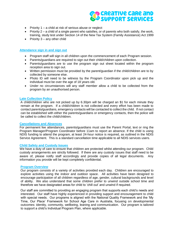

- Priority  $1 a$  child at risk of serious abuse or neglect
- Priority  $2 a$  child of a single parent who satisfies, or of parents who both satisfy, the work, training, study test under Section 14 of the New Tax System (Family Assistance) Act 1999
- Priority  $3 any other child$

### **Attendance sign in and sign out**

- Program staff will sign in all children upon the commencement of each Program session.
- Parents/guardians are required to sign out their child/children upon collection.
- Parents/guardians are to use the program sign out sheet located within the program reception area to sign out.
- Written permission must be provided by the parent/quardian if the child/children are to by collected by someone else.
- Photo ID will need to be witness by the Program Coordinator upon pick up and the individual must be over the age of 18 years old.
- Under no circumstances will any staff member allow a child to be collected from the program by an unauthorised person.

#### **Late Collection Policy**

A child/children who are not picked up by 6.30pm will be charged an \$1 for each minute they remain at the program. If a child/children is not collected and every effort has been made to contact parents/guardians, emergency contacts will be contacted to collect the child. If not contact can be established with either the parents/guardians or emergency contacts, then the police will be called to collect the child/children.

#### **Cancellations and Absences**

For permanent fee attendances, parents/guardians must use the Parent Portal, text or ring the Program Manager/Program Coordinator before 11am to report an absence. If the child is using NDIS funding to attend the program, at least 24-hour notice is required, as outlined in the NDIS Service Agreement. This is a standard cancellation time applicable to all NDIS services users.

#### **Child Safety and Custody Issues**

We have a duty of care to ensure that children are protected whilst attending our program. Child custody arrangements are strictly followed. If there are any custody issues that staff need to be aware of, please notify staff accordingly and provide copies of all legal documents. Any information you provide will be kept completely confidential.

#### **Program Overview**

Our program consists of a variety of activities provided each day. Children are encouraged to explore activities using the indoor and outdoor space. All activities have been designed to encourage participation of all children regardless of age, gender, cultural backgrounds and level of ability. We also understand that some children prefer to unwind outside school time and therefore we have designated areas for child to 'chill out' and unwind if required.

Our staff are committed to providing an engaging program that supports each child's needs and interested. Our staff have highly experienced in providing support and encouragement to child with special needs. Our programs is aligned with the National Quality Framework and the 'My Time, Our Place' Framework for School Age Care in Australia, focusing on developmental outcomes: identity, community, wellbeing, leaning and communication. Our program is tailored to support a child's Individual Program Plan, where applicable.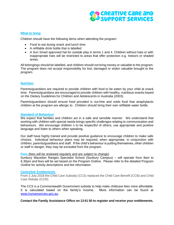

## **What to bring**

Children should have the following items when attending the program:

- Food to eat during snack and lunch time
- A refillable drink bottle that is labelled
- A Sun Smart approved hat for outside play in terms 1 and 4. Children without hats or with inappropriate hats will be restricted to areas that offer protection e.g. Indoors or shaded areas.

All belongings should be labelled, and children should not bring money or valuable to the program. The program does not accept responsibility for lost, damaged or stolen valuable brought to the program.

#### **Nutrition**

Parents/guardians are required to provide children with food to be eaten by your child at snack time. Parents/guardians are encouraged to provide children with healthy, nutritious snacks based on the Dietary Guidelines for Children and Adolescents in Australia (2003).

Parents/guardians should ensure food provided is nut-free and voids food that anaphylactic children at the program are allergic to. Children should bring their own refillable water bottle.

#### **Standard of Behaviour**

We expect that families and children act in a safe and sensible manner. We understand that working with children with special needs brings specific challenges relating to communication and behaviours. We encourage children n to be respectful of others, use appropriate and positive language and listen to others when speaking.

Our staff have highly trained and provide positive guidance to encourage children to make safe choices. Individual behaviour plans may be required, when appropriate, in conjunction with children, parents/guardians and staff. If the child's behaviour is putting themselves, other children or staff in danger, they may be excluded from the program.

### **Fees** (fees will be reviewed regularly and are subject to change)

Sunbury Macedon Ranges Specialist School (Sunbury Campus) – will operate from 8am to 6.30pm and fees will be set based on the Program Outline. Please refer to the detailed Program Outline for activity descriptions and fee information.

#### **Centrelink Entitlements**

From 2 July 2018 the Child Care Subsidy (CCS) replaced the Child Care Benefit (CCB) and Child Care Rebate (CCR).

The CCS is a Commonwealth Government subsidy to help make childcare fees more affordable. It is calculated based on the family's income. More information can be found at [www.humansercies.gov.au.](http://www.humansercies.gov.au/)

**Contact the Family Assistance Office on 13 61 50 to register and receive your entitlements.**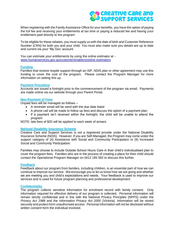# **CO CREATIVE CARE AND<br>CO SUPPORT SERVICES**

When registering with the Family Assistance Office for your benefits, you have the option of paying the full fee and receiving your entitlements at tax time or paying a reduced fee and having your entitlement paid directly to the program.

To be eligible for these rebates, you must supply us with the date of birth and Customer Reference Number (CRN) for both you and your child. You must also make sure you details are up to date and current via your 'My Gov' account.

You can estimate your entitlements by using the online estimator at [www.humanservices.gov.au/customer/enablers/online-estimators](http://www.humanservices.gov.au/customer/enablers/online-estimators)

#### **Funding**

Families that receive respite support through an ISP, NDIS plan or other agreement may use this funding to cover the cost of the program. Please contact the Program Manager for more information on setting this up.

#### **Payment Procedure**

Accounts are issued a fortnight prior to the commencement of the program via email. Payments are made online via our website through your Parent Portal.

#### **Non-Payment of Fees**

Unpaid fees will be managed as follows –

- A reminder email will be send with the due date listed
- A phone call will be made to follow up fees and discuss the option of a payment plan
- If a payment isn't received within the fortnight, the child will be unable to attend the program

NOTE: late fees of \$20 will be applied to each week of arrears

## **National Disability Insurance Scheme**

Creative Care and Support Services is not a registered provide under the National Disability Insurance Scheme (NDIS). However, if you are Self-Managed, the Program may come under the support category of (4) Assistance with Social and Community Participation or (9) Increased Social and Community Participation.

Families may choose to include Outside School Hours Care in their child's individualised plan to cover the program fees. Families who are in the process of creating a place for their child should contact the Operational Program Manager on 0412 185 592 to discuss this further.

#### **Feedback**

Feedback about our program from families, including children, is an essential part of how we can continue to improve our service. We encourage you to let us know how we are going and whether we are meeting you and child's expectations and needs. Your feedback is used to improve our services and is used for future program planning and professional development.

#### **Confidentiality**

The program collects sensitive information for enrolment record with family consent. Only information required for effective delivery of our program is collected. Personal information will remain strictly confidential and in line with the National Privacy Principles (NPPS) under the *Privacy Act 1988* and the *Information Privacy Act 2000 (Victoria).* Information will be stored securely and protect form unauthorised access. Personal information will not be disclosed without written consent form the individual involved.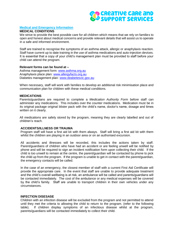

#### **Medical and Emergency Information**

#### **MEDICAL CONDITIONS**

We strive to provide the best possible care for all children which means that we rely on families to open and honest about medical concerns and provide relevant details that will assist us to operate in a safe and informed environment.

Staff are trained to recognise the symptoms of an asthma attack, allergic or anaphylaxis reaction. Staff have current up to date training in the use of asthma medications and auto-injection devices. It is essential that a copy of your child's management plan must be provided to staff before your child can attend the program.

#### **Relevant forms can be found at –**

Asthma management form: [www.asthma.org.au](http://www.asthma.org.au/) Anaphylaxis place plan: [www.allergyfacts.org.au](http://www.allergyfacts.org.au/) Diabetes management plan: [www.deabetesvic.gov.au](http://www.deabetesvic.gov.au/)

When necessary, staff will work with families to develop an additional risk minimisation place and communication plan for children with these medical conditions.

#### **MEDICATIONS**

Parents/guardians are required to complete a *Medication Authority Form* before staff can administer any medications. This includes over the counter medications. Medication must be in its original package original blister pack with the child's name, doctor's name, dosage and times written on it clearly.

All medications are safely stored by the program, meaning they are clearly labelled and out of children's reach.

#### **ACCIDENTS/ILLNESS OR TRAUMA**

Program staff will have a first aid kit with them always. Staff will bring a first aid kit with them whilst the children are playing in an outdoor area or on an authorised excursion.

All accidents and illnesses will be recorded, this includes the actions taken by staff. Parent/guardians of children who have had an accident or are feeling unwell will be notified by phone and will be required to sign an incident notification form upon collecting their child. If the child is too unwell to remain at the centre, the parent/guardian will be contacted by phone to pick the child up from the program. If the program is unable to get in contact with the parent/guardian, the emergency contacts will be called.

In the case of an emergency, the closest member of staff with a current First Aid Certificate will provide the appropriate care. In the event that staff are unable to provide adequate treatment and the child's overall wellbeing is at risk, an ambulance will be called and parents/guardians will be contacted immediately. The cost of the ambulance or any medical expenses will be covered by the child's family. Staff are unable to transport children in their own vehicles under any circumstances.

#### **INFECTION DISESASE**

Children with an infection disease will be excluded from the program and not permitted to attend until they met the criteria to allowing the child to return to the program. (refer to the following table). If children display symptoms of an infectious disease whilst at the program, parents/guardians will be contacted immediately to collect their child.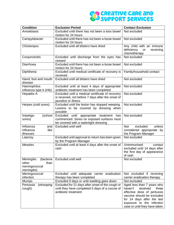# **CO CREATIVE CARE AND SUPPORT SERVICES**

| <b>Condition</b>               | <b>Exclusion Period</b>                                                                  | <b>Contact Exclusion</b>         |
|--------------------------------|------------------------------------------------------------------------------------------|----------------------------------|
| Amoebiasis                     | Excluded until there has not been a loos bowel                                           | Not excluded                     |
|                                | motion for 24 hours                                                                      |                                  |
| Campylobacter                  | Excluded until there has not been a loose bowel                                          | Not excluded                     |
|                                | motion for 24 hours                                                                      |                                  |
| Chickenpox                     | Excluded until all blisters have dried                                                   | Any child with an immune         |
|                                |                                                                                          | deficiency<br>receiving<br>or    |
|                                |                                                                                          | chemotherapy                     |
| Conjunctivitis                 | Excluded until discharge from the eyes has<br>ceased                                     | Not excluded                     |
| Diarrhoea                      | Excluded until there has not been a loose bowel<br>motion for 24 hours                   | Not excluded                     |
| Diphtheria                     | Excluded until medical certificate of recovery is                                        | Family/household contact         |
|                                | received                                                                                 |                                  |
| Hand, foot and mouth           | Excluded until all blisters have dried                                                   | Not excluded                     |
| disease                        |                                                                                          |                                  |
| Haemophilus                    | Excluded until at least 4 days of appropriate                                            | Not excluded                     |
| influenza type b (Hib)         | antibiotic treatment has been completed                                                  |                                  |
| <b>Hepatitis A</b>             | Excluded until a medical certificate of recovery                                         | Not excluded                     |
|                                | is received, not before 7 days after the onset of                                        |                                  |
|                                | jaundice or illness                                                                      |                                  |
| Herpes (cold sores)            | Excluded until the lesion has stopped weeping.<br>Lesions to be covered by dressing when | Not excluded                     |
|                                | possible                                                                                 |                                  |
| (school<br>Impetigo            | until appropriate treatment<br>Excluded<br>has                                           | Not excluded                     |
| sores)                         | commenced. Sores on exposed surfaces must                                                |                                  |
|                                | be covered with a watertight dressing                                                    |                                  |
| Influenza<br>and               | Excluded until well                                                                      | excluded<br>unless<br><b>Not</b> |
| influenza<br>like              |                                                                                          | considered appropriate by        |
| illnesses                      |                                                                                          | the Program Manager              |
| Leprosy                        | Excluded until approval to return has been given                                         | Not excluded                     |
|                                | by the Program Manager                                                                   |                                  |
| <b>Measles</b>                 | Excluded until at least 4 days after the onset of                                        | Unimmunised<br>contact           |
|                                | rash                                                                                     | excluded until 14 days after     |
|                                |                                                                                          | the first day of appearance      |
|                                |                                                                                          | of rash                          |
| <b>Meningitis</b><br>(bacteria | Excluded until well                                                                      | Not excluded                     |
| other<br>than<br>meningococcal |                                                                                          |                                  |
| meningitis)                    |                                                                                          |                                  |
| Meningococcal                  | Excluded until adequate carrier eradication                                              | Not excluded if receiving        |
| infection                      | therapy has been completed                                                               | carrier eradication therapy      |
| <b>Mumps</b>                   | Excluded 9 days or until swelling goes down                                              | Not excluded                     |
| Pertussis<br>(whooping         | Excluded for 21 days after onset of the cough or                                         | Aged less than 7 years who       |
| cough)                         | until they have completed 5 days of a course of                                          | haven't<br>received<br>three     |
|                                | antibiotic treatment                                                                     | effective dose of pertussis      |
|                                |                                                                                          | vaccine should be excluded       |
|                                |                                                                                          | for 14 days after the last       |
|                                |                                                                                          | exposure to the infection        |
|                                |                                                                                          | case or until they have taken    |